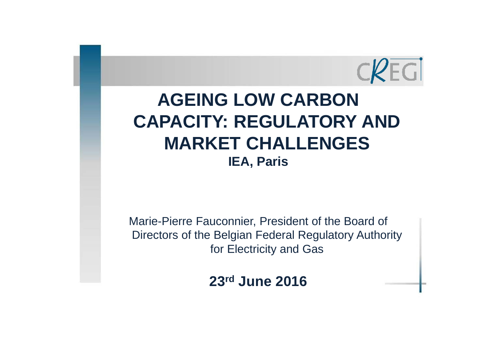

# **AGEING LOW CARBON CAPACITY: REGULATORY AND MARKET CHALLENGES IEA, Paris**

Marie-Pierre Fauconnier, President of the Board of Directors of the Belgian Federal Regulatory Authority for Electricity and Gas

**23rd June 2016**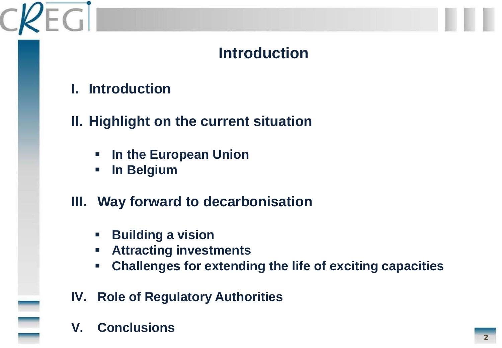# **Introduction**

**I. Introduction**

EGI

- **II. Highlight on the current situation**
	- **In the European Union**
	- **In Belgium**
- **III. Way forward to decarbonisation**
	- **Building a vision**
	- **Attracting investments**
	- **Challenges for extending the life of exciting capacities**
- **IV. Role of Regulatory Authorities**
- **V. Conclusions**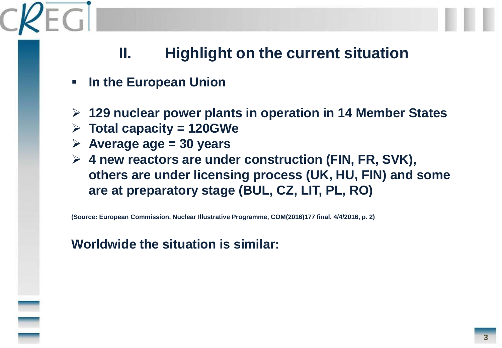- **In the European Union**
- **129 nuclear power plants in operation in 14 Member States**
- **Total capacity = 120GWe**
- **Average age = 30 years**
- **4 new reactors are under construction (FIN, FR, SVK), others are under licensing process (UK, HU, FIN) and some are at preparatory stage (BUL, CZ, LIT, PL, RO)**

**(Source: European Commission, Nuclear Illustrative Programme, COM(2016)177 final, 4/4/2016, p. 2)**

#### **Worldwide the situation is similar:**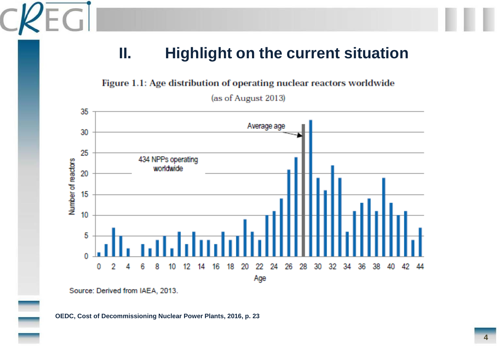Figure 1.1: Age distribution of operating nuclear reactors worldwide





Source: Derived from IAEA, 2013.

**OEDC, Cost of Decommissioning Nuclear Power Plants, 2016, p. 23**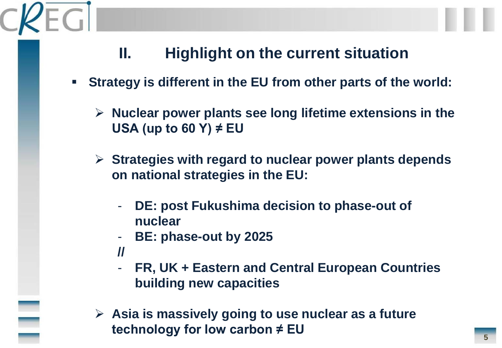- **Strategy is different in the EU from other parts of the world:**
	- **Nuclear power plants see long lifetime extensions in the USA (up to 60 Y) ≠ EU**
	- **Strategies with regard to nuclear power plants depends on national strategies in the EU:**
		- **DE: post Fukushima decision to phase-out of nuclear**
		- **BE: phase-out by 2025**
		- **//**
		- **FR, UK + Eastern and Central European Countries building new capacities**
	- **Asia is massively going to use nuclear as a future technology for low carbon ≠ EU**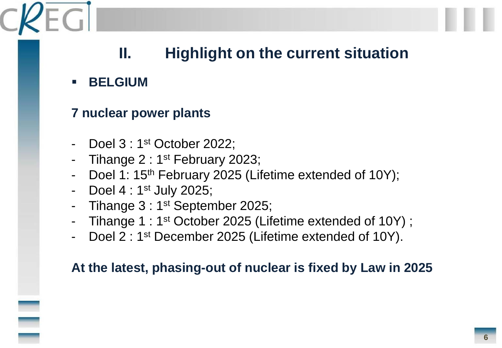#### **BELGIUM**

#### **7 nuclear power plants**

- Doel 3 : 1<sup>st</sup> October 2022;
- Tihange 2 :  $1<sup>st</sup>$  February 2023;
- Doel 1: 15<sup>th</sup> February 2025 (Lifetime extended of 10Y);
- Doel 4 : 1<sup>st</sup> July 2025;
- Tihange 3 : 1<sup>st</sup> September 2025;
- Tihange 1 : 1<sup>st</sup> October 2025 (Lifetime extended of 10Y) ;
- Doel 2 : 1<sup>st</sup> December 2025 (Lifetime extended of 10Y).

#### **At the latest, phasing-out of nuclear is fixed by Law in 2025**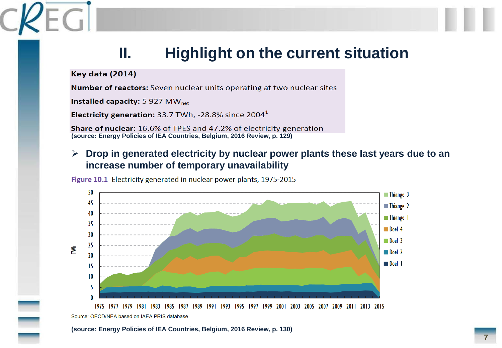**Key data (2014)** 

Number of reactors: Seven nuclear units operating at two nuclear sites

Installed capacity: 5 927 MW<sub>net</sub>

**Electricity generation:** 33.7 TWh, -28.8% since  $2004<sup>1</sup>$ 

**Share of nuclear:** 16.6% of TPES and 47.2% of electricity generation **(source: Energy Policies of IEA Countries, Belgium, 2016 Review, p. 129)**

#### **Drop in generated electricity by nuclear power plants these last years due to an increase number of temporary unavailability**

Figure 10.1 Electricity generated in nuclear power plants, 1975-2015



1975 1977 1979 1981 1983 1985 1987 1989 1991 1993 1995 1997 1999 2001 2003 2005 2007 2009 2011 2013 2015 Source: OECD/NEA based on IAEA PRIS database.

**(source: Energy Policies of IEA Countries, Belgium, 2016 Review, p. 130)**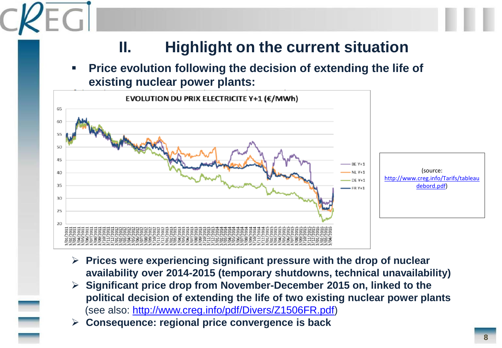**Price evolution following the decision of extending the life of existing nuclear power plants:**



- **Prices were experiencing significant pressure with the drop of nuclear availability over 2014-2015 (temporary shutdowns, technical unavailability)**
- **Significant price drop from November-December 2015 on, linked to the political decision of extending the life of two existing nuclear power plants**  (see also:<http://www.creg.info/pdf/Divers/Z1506FR.pdf>)
- **Consequence: regional price convergence is back**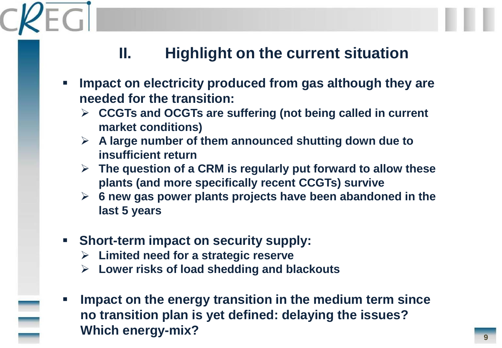- **Impact on electricity produced from gas although they are needed for the transition:**
	- **CCGTs and OCGTs are suffering (not being called in current market conditions)**
	- **A large number of them announced shutting down due to insufficient return**
	- **The question of a CRM is regularly put forward to allow these plants (and more specifically recent CCGTs) survive**
	- **6 new gas power plants projects have been abandoned in the last 5 years**
- **Short-term impact on security supply:**
	- **Limited need for a strategic reserve**
	- **Lower risks of load shedding and blackouts**
- **Impact on the energy transition in the medium term since no transition plan is yet defined: delaying the issues? Which energy-mix?**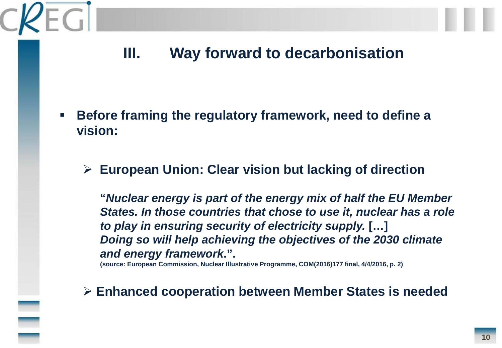- **Before framing the regulatory framework, need to define a vision:**
	- **European Union: Clear vision but lacking of direction**

**"***Nuclear energy is part of the energy mix of half the EU Member States. In those countries that chose to use it, nuclear has a role to play in ensuring security of electricity supply.* **[…]**  *Doing so will help achieving the objectives of the 2030 climate and energy framework***.".**

**(source: European Commission, Nuclear Illustrative Programme, COM(2016)177 final, 4/4/2016, p. 2)**

**Enhanced cooperation between Member States is needed**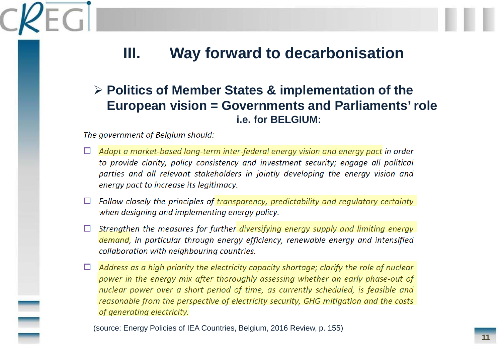#### **Politics of Member States & implementation of the European vision = Governments and Parliaments' role i.e. for BELGIUM:**

#### The government of Belgium should:

- Adopt a market-based long-term inter-federal energy vision and energy pact in order  $\Box$ to provide clarity, policy consistency and investment security; engage all political parties and all relevant stakeholders in jointly developing the energy vision and energy pact to increase its legitimacy.
- $\Box$  Follow closely the principles of transparency, predictability and regulatory certainty when designing and implementing energy policy.
- Strengthen the measures for further diversifying energy supply and limiting energy demand, in particular through energy efficiency, renewable energy and intensified collaboration with neighbouring countries.
- $\Box$  Address as a high priority the electricity capacity shortage; clarify the role of nuclear power in the energy mix after thoroughly assessing whether an early phase-out of nuclear power over a short period of time, as currently scheduled, is feasible and reasonable from the perspective of electricity security, GHG mitigation and the costs of generating electricity.

(source: Energy Policies of IEA Countries, Belgium, 2016 Review, p. 155)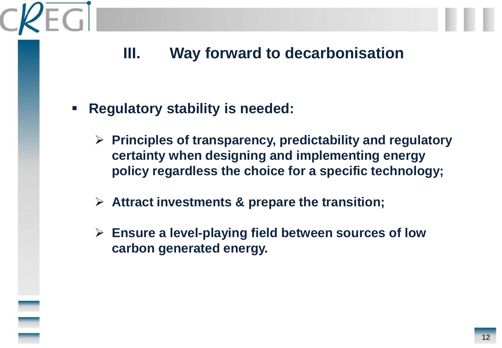- **Regulatory stability is needed:**
	- **Principles of transparency, predictability and regulatory certainty when designing and implementing energy policy regardless the choice for a specific technology;**
	- **Attract investments & prepare the transition;**
	- **Ensure a level-playing field between sources of low carbon generated energy.**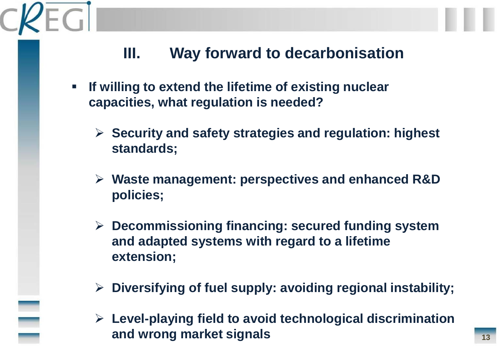- **If willing to extend the lifetime of existing nuclear capacities, what regulation is needed?**
	- **Security and safety strategies and regulation: highest standards;**
	- **Waste management: perspectives and enhanced R&D policies;**
	- **Decommissioning financing: secured funding system and adapted systems with regard to a lifetime extension;**
	- **Diversifying of fuel supply: avoiding regional instability;**
	- **Level-playing field to avoid technological discrimination and wrong market signals**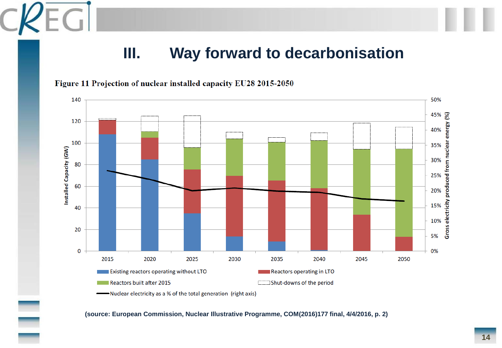



-Nuclear electricity as a % of the total generation (right axis)

**(source: European Commission, Nuclear Illustrative Programme, COM(2016)177 final, 4/4/2016, p. 2)**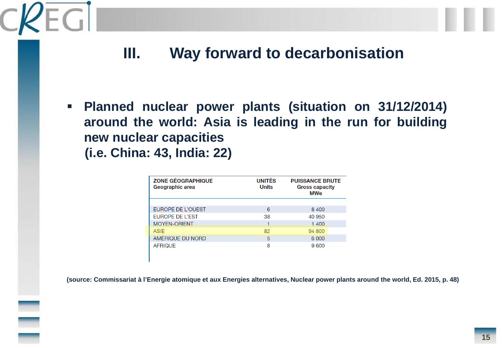EG

 **Planned nuclear power plants (situation on 31/12/2014) around the world: Asia is leading in the run for building new nuclear capacities (i.e. China: 43, India: 22)**

| <b>ZONE GÉOGRAPHIQUE</b><br>Geographic area | <b>UNITÉS</b><br><b>Units</b> | <b>PUISSANCE BRUTE</b><br><b>Gross capacity</b><br><b>MWe</b> |
|---------------------------------------------|-------------------------------|---------------------------------------------------------------|
|                                             |                               |                                                               |
| EUROPE DE L'OUEST                           | 6                             | 8 4 0 0                                                       |
| <b>EUROPE DE L'EST</b>                      | 38                            | 40 950                                                        |
| <b>MOYEN-ORIENT</b>                         |                               | 1 400                                                         |
| ASIF                                        | 82                            | 94 800                                                        |
| AMÉRIQUE DU NORD                            | 5                             | 6 0 0 0                                                       |
| <b>AFRIQUE</b>                              | 8                             | 9600                                                          |

(source: Commissariat à l'Energie atomique et aux Energies alternatives, Nuclear power plants around the world, Ed. 2015, p. 48)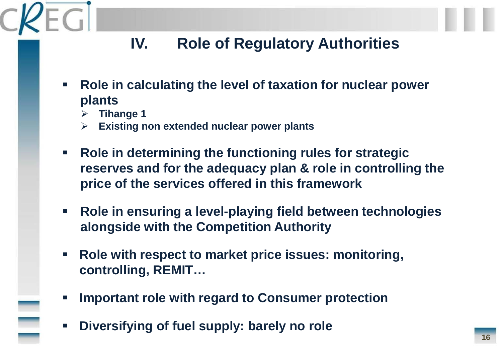# **IV. Role of Regulatory Authorities**

- **Role in calculating the level of taxation for nuclear power plants**
	- **Tihange 1**
	- **Existing non extended nuclear power plants**
- **Role in determining the functioning rules for strategic reserves and for the adequacy plan & role in controlling the price of the services offered in this framework**
- **Role in ensuring a level-playing field between technologies alongside with the Competition Authority**
- **Role with respect to market price issues: monitoring, controlling, REMIT…**
- **Important role with regard to Consumer protection**
- **Diversifying of fuel supply: barely no role**